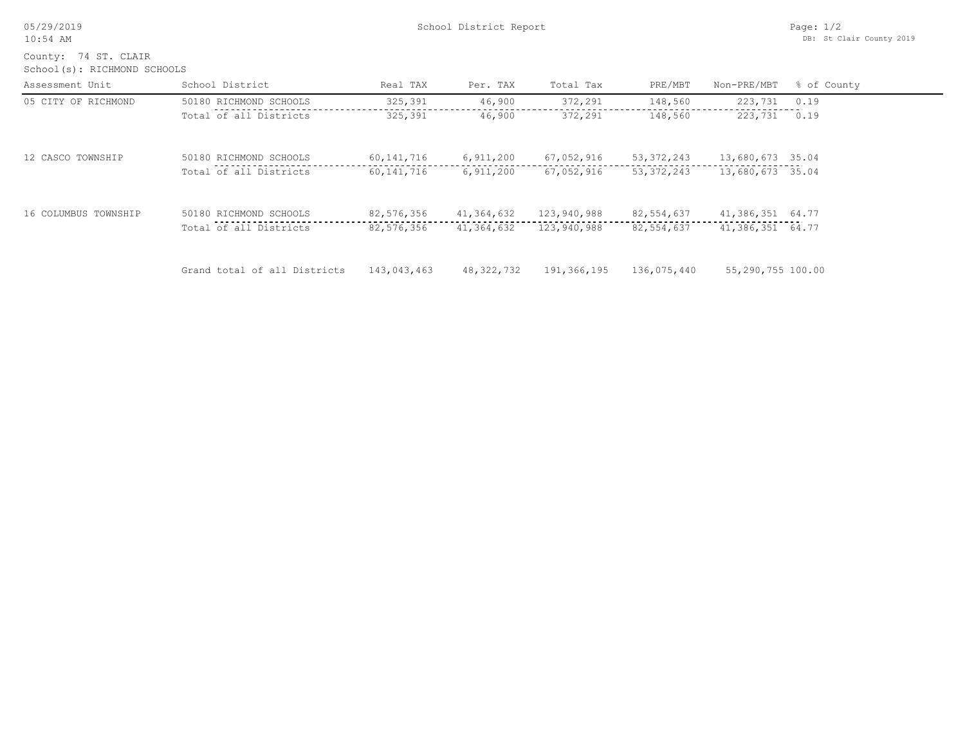| 05/29/2019 |  |  |
|------------|--|--|
| $10:54$ AM |  |  |

School(s): RICHMOND SCHOOLS County: 74 ST. CLAIR

| Assessment Unit      | School District              | Real TAX     | Per. TAX   | Total Tax   | PRE/MBT      | Non-PRE/MBT       | % of County |
|----------------------|------------------------------|--------------|------------|-------------|--------------|-------------------|-------------|
| 05 CITY OF RICHMOND  | 50180 RICHMOND SCHOOLS       | 325,391      | 46,900     | 372,291     | 148,560      | 223,731           | 0.19        |
|                      | Total of all Districts       | 325,391      | 46,900     | 372,291     | 148,560      | 223,731           | 0.19        |
| 12 CASCO TOWNSHIP    | 50180 RICHMOND SCHOOLS       | 60, 141, 716 | 6,911,200  | 67,052,916  | 53, 372, 243 | 13,680,673 35.04  |             |
|                      | Total of all Districts       | 60,141,716   | 6,911,200  | 67,052,916  | 53, 372, 243 | 13,680,673 35.04  |             |
| 16 COLUMBUS TOWNSHIP | 50180 RICHMOND SCHOOLS       | 82,576,356   | 41,364,632 | 123,940,988 | 82,554,637   | 41,386,351 64.77  |             |
|                      | Total of all Districts       | 82,576,356   | 41,364,632 | 123,940,988 | 82,554,637   | 41,386,351 64.77  |             |
|                      | Grand total of all Districts | 143,043,463  | 48,322,732 | 191,366,195 | 136,075,440  | 55,290,755 100.00 |             |